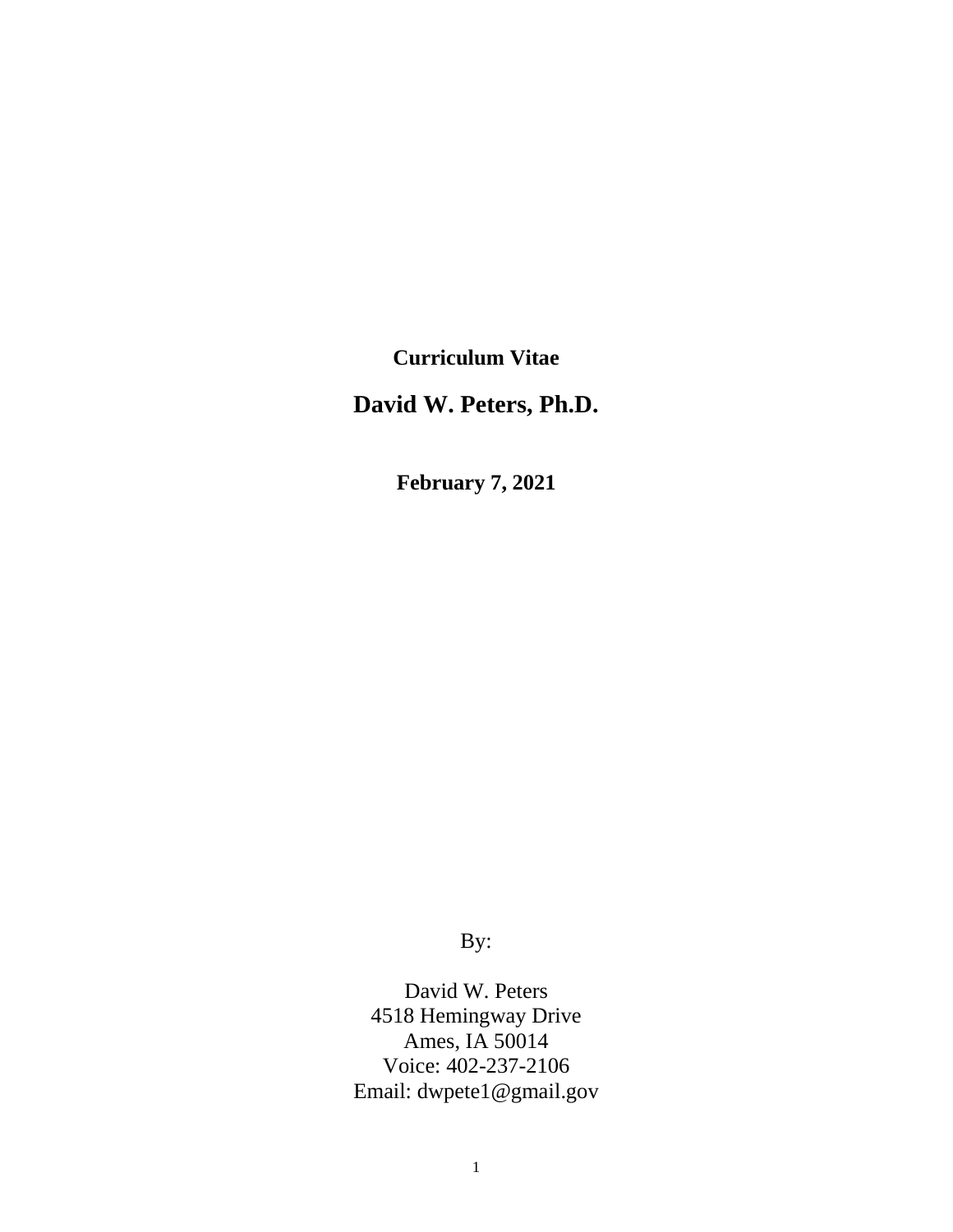**Curriculum Vitae**

**David W. Peters, Ph.D.**

**February 7, 2021**

By:

David W. Peters 4518 Hemingway Drive Ames, IA 50014 Voice: 402-237-2106 Email: dwpete1@gmail.gov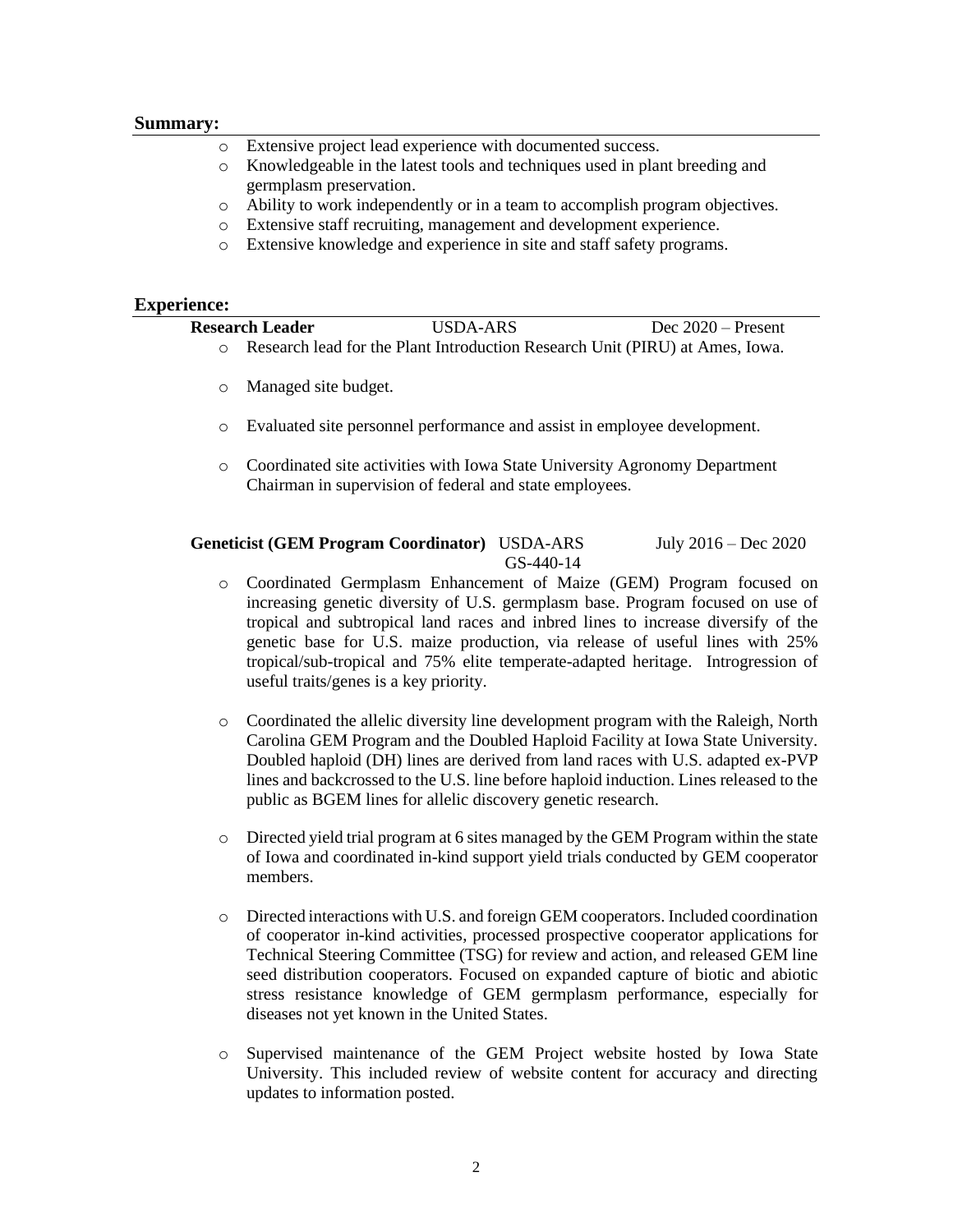### **Summary:**

- Extensive project lead experience with documented success.
- o Knowledgeable in the latest tools and techniques used in plant breeding and germplasm preservation.
- o Ability to work independently or in a team to accomplish program objectives.
- o Extensive staff recruiting, management and development experience.
- o Extensive knowledge and experience in site and staff safety programs.

### **Experience:**

| <b>Research Leader</b> | USDA-ARS                                                                     | Dec $2020$ – Present |
|------------------------|------------------------------------------------------------------------------|----------------------|
|                        | Research lead for the Plant Introduction Research Unit (PIRU) at Ames. Iowa. |                      |
| o Managed site budget. |                                                                              |                      |

- o Evaluated site personnel performance and assist in employee development.
- o Coordinated site activities with Iowa State University Agronomy Department Chairman in supervision of federal and state employees.

### **Geneticist (GEM Program Coordinator)** USDA-ARSJuly 2016 – Dec 2020 GS-440-14

- o Coordinated Germplasm Enhancement of Maize (GEM) Program focused on increasing genetic diversity of U.S. germplasm base. Program focused on use of tropical and subtropical land races and inbred lines to increase diversify of the genetic base for U.S. maize production, via release of useful lines with 25% tropical/sub-tropical and 75% elite temperate-adapted heritage. Introgression of useful traits/genes is a key priority.
- o Coordinated the allelic diversity line development program with the Raleigh, North Carolina GEM Program and the Doubled Haploid Facility at Iowa State University. Doubled haploid (DH) lines are derived from land races with U.S. adapted ex-PVP lines and backcrossed to the U.S. line before haploid induction. Lines released to the public as BGEM lines for allelic discovery genetic research.
- o Directed yield trial program at 6 sites managed by the GEM Program within the state of Iowa and coordinated in-kind support yield trials conducted by GEM cooperator members.
- o Directed interactions with U.S. and foreign GEM cooperators. Included coordination of cooperator in-kind activities, processed prospective cooperator applications for Technical Steering Committee (TSG) for review and action, and released GEM line seed distribution cooperators. Focused on expanded capture of biotic and abiotic stress resistance knowledge of GEM germplasm performance, especially for diseases not yet known in the United States.
- o Supervised maintenance of the GEM Project website hosted by Iowa State University. This included review of website content for accuracy and directing updates to information posted.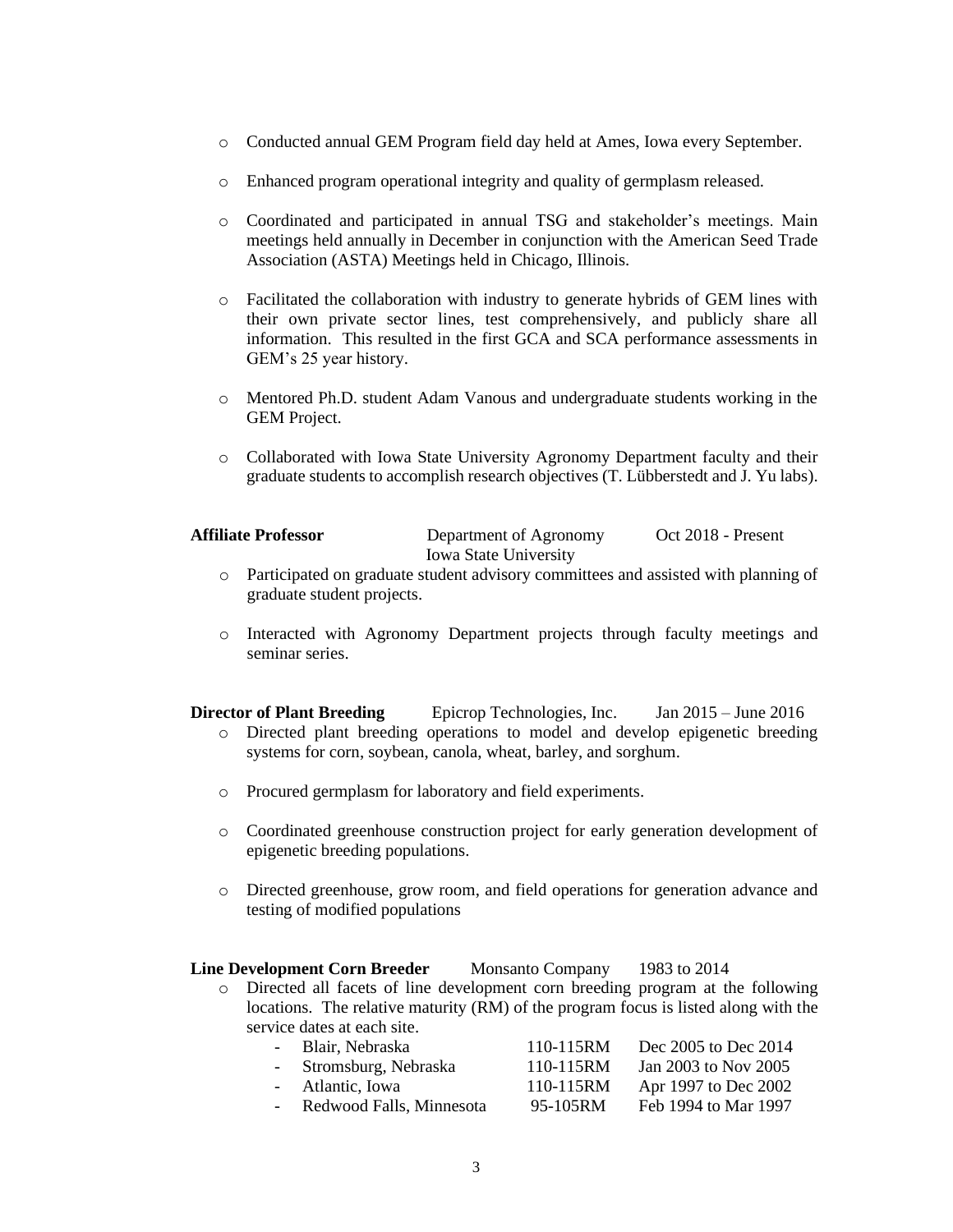- o Conducted annual GEM Program field day held at Ames, Iowa every September.
- o Enhanced program operational integrity and quality of germplasm released.
- o Coordinated and participated in annual TSG and stakeholder's meetings. Main meetings held annually in December in conjunction with the American Seed Trade Association (ASTA) Meetings held in Chicago, Illinois.
- o Facilitated the collaboration with industry to generate hybrids of GEM lines with their own private sector lines, test comprehensively, and publicly share all information. This resulted in the first GCA and SCA performance assessments in GEM's 25 year history.
- o Mentored Ph.D. student Adam Vanous and undergraduate students working in the GEM Project.
- o Collaborated with Iowa State University Agronomy Department faculty and their graduate students to accomplish research objectives (T. Lübberstedt and J. Yu labs).

| <b>Affiliate Professor</b> | Department of Agronomy       | Oct 2018 - Present |
|----------------------------|------------------------------|--------------------|
|                            | <b>Iowa State University</b> |                    |

- o Participated on graduate student advisory committees and assisted with planning of graduate student projects.
- o Interacted with Agronomy Department projects through faculty meetings and seminar series.

**Director of Plant Breeding** Epicrop Technologies, Inc. Jan 2015 – June 2016 o Directed plant breeding operations to model and develop epigenetic breeding systems for corn, soybean, canola, wheat, barley, and sorghum.

- o Procured germplasm for laboratory and field experiments.
- o Coordinated greenhouse construction project for early generation development of epigenetic breeding populations.
- o Directed greenhouse, grow room, and field operations for generation advance and testing of modified populations

### **Line Development Corn Breeder** Monsanto Company 1983 to 2014

o Directed all facets of line development corn breeding program at the following locations. The relative maturity (RM) of the program focus is listed along with the service dates at each site.

| - Blair, Nebraska        | 110-115RM | Dec 2005 to Dec 2014 |
|--------------------------|-----------|----------------------|
| - Stromsburg, Nebraska   | 110-115RM | Jan 2003 to Nov 2005 |
| - Atlantic, Iowa         | 110-115RM | Apr 1997 to Dec 2002 |
| Redwood Falls, Minnesota | 95-105RM  | Feb 1994 to Mar 1997 |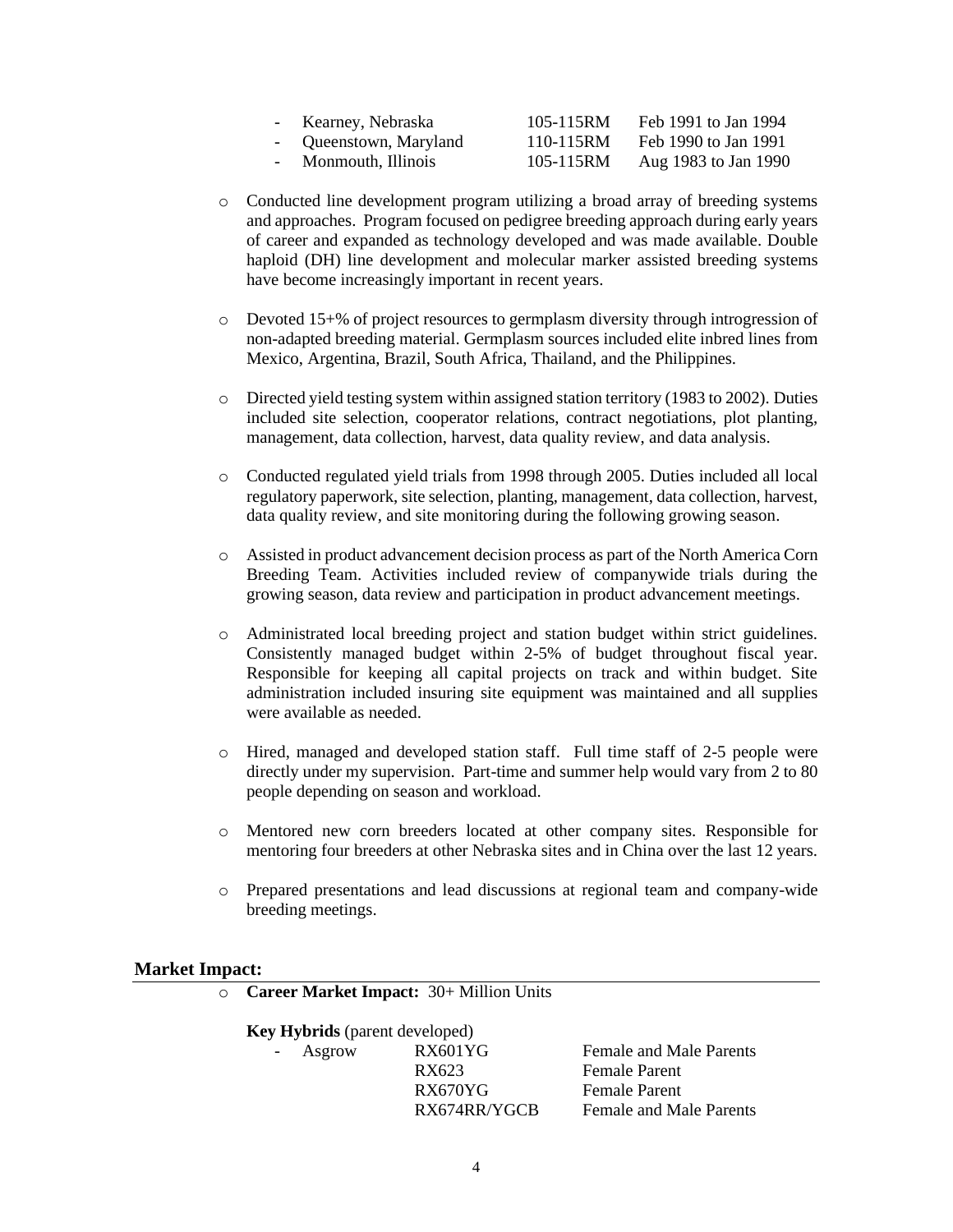| Kearney, Nebraska      | 105-115RM | Feb 1991 to Jan 1994 |
|------------------------|-----------|----------------------|
| - Queenstown, Maryland | 110-115RM | Feb 1990 to Jan 1991 |
| Monmouth, Illinois     | 105-115RM | Aug 1983 to Jan 1990 |

- o Conducted line development program utilizing a broad array of breeding systems and approaches. Program focused on pedigree breeding approach during early years of career and expanded as technology developed and was made available. Double haploid (DH) line development and molecular marker assisted breeding systems have become increasingly important in recent years.
- o Devoted 15+% of project resources to germplasm diversity through introgression of non-adapted breeding material. Germplasm sources included elite inbred lines from Mexico, Argentina, Brazil, South Africa, Thailand, and the Philippines.
- o Directed yield testing system within assigned station territory (1983 to 2002). Duties included site selection, cooperator relations, contract negotiations, plot planting, management, data collection, harvest, data quality review, and data analysis.
- o Conducted regulated yield trials from 1998 through 2005. Duties included all local regulatory paperwork, site selection, planting, management, data collection, harvest, data quality review, and site monitoring during the following growing season.
- o Assisted in product advancement decision process as part of the North America Corn Breeding Team. Activities included review of companywide trials during the growing season, data review and participation in product advancement meetings.
- o Administrated local breeding project and station budget within strict guidelines. Consistently managed budget within 2-5% of budget throughout fiscal year. Responsible for keeping all capital projects on track and within budget. Site administration included insuring site equipment was maintained and all supplies were available as needed.
- o Hired, managed and developed station staff. Full time staff of 2-5 people were directly under my supervision. Part-time and summer help would vary from 2 to 80 people depending on season and workload.
- o Mentored new corn breeders located at other company sites. Responsible for mentoring four breeders at other Nebraska sites and in China over the last 12 years.
- o Prepared presentations and lead discussions at regional team and company-wide breeding meetings.

## **Market Impact:**

| $\circ$ Career Market Impact: 30+ Million Units |                                       |                |                                |  |  |
|-------------------------------------------------|---------------------------------------|----------------|--------------------------------|--|--|
|                                                 | <b>Key Hybrids</b> (parent developed) |                |                                |  |  |
|                                                 | - Asgrow                              | <b>RX601YG</b> | <b>Female and Male Parents</b> |  |  |
|                                                 |                                       | RX623          | <b>Female Parent</b>           |  |  |
|                                                 |                                       | RX670YG        | <b>Female Parent</b>           |  |  |
|                                                 |                                       | RX674RR/YGCB   | <b>Female and Male Parents</b> |  |  |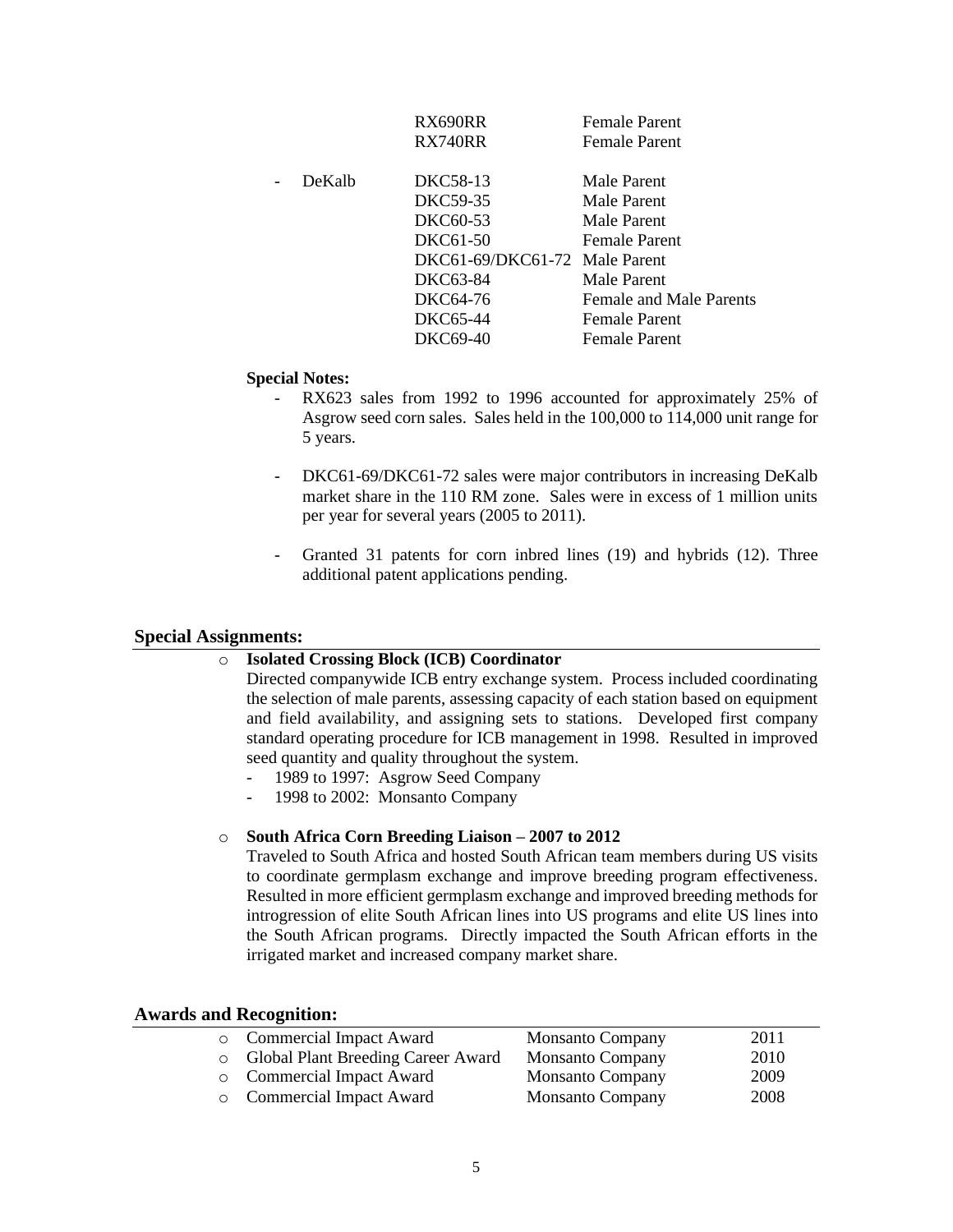|        | RX690RR                       | <b>Female Parent</b>           |
|--------|-------------------------------|--------------------------------|
|        | RX740RR                       | <b>Female Parent</b>           |
| DeKalb | DKC58-13                      | Male Parent                    |
|        | DKC59-35                      | Male Parent                    |
|        | DKC60-53                      | Male Parent                    |
|        | DKC61-50                      | <b>Female Parent</b>           |
|        | DKC61-69/DKC61-72 Male Parent |                                |
|        | DKC63-84                      | Male Parent                    |
|        | DKC64-76                      | <b>Female and Male Parents</b> |
|        | DKC65-44                      | <b>Female Parent</b>           |
|        | DKC69-40                      | <b>Female Parent</b>           |

#### **Special Notes:**

- RX623 sales from 1992 to 1996 accounted for approximately 25% of Asgrow seed corn sales. Sales held in the 100,000 to 114,000 unit range for 5 years.
- DKC61-69/DKC61-72 sales were major contributors in increasing DeKalb market share in the 110 RM zone. Sales were in excess of 1 million units per year for several years (2005 to 2011).
- Granted 31 patents for corn inbred lines (19) and hybrids (12). Three additional patent applications pending.

### **Special Assignments:**

## o **Isolated Crossing Block (ICB) Coordinator**

Directed companywide ICB entry exchange system. Process included coordinating the selection of male parents, assessing capacity of each station based on equipment and field availability, and assigning sets to stations. Developed first company standard operating procedure for ICB management in 1998. Resulted in improved seed quantity and quality throughout the system.

- 1989 to 1997: Asgrow Seed Company
- 1998 to 2002: Monsanto Company

#### o **South Africa Corn Breeding Liaison – 2007 to 2012**

Traveled to South Africa and hosted South African team members during US visits to coordinate germplasm exchange and improve breeding program effectiveness. Resulted in more efficient germplasm exchange and improved breeding methods for introgression of elite South African lines into US programs and elite US lines into the South African programs. Directly impacted the South African efforts in the irrigated market and increased company market share.

| wards and Recognition: |                                    |                         |      |  |
|------------------------|------------------------------------|-------------------------|------|--|
|                        | <b>Commercial Impact Award</b>     | <b>Monsanto Company</b> | 2011 |  |
|                        | Global Plant Breeding Career Award | <b>Monsanto Company</b> | 2010 |  |
| $\circ$                | Commercial Impact Award            | <b>Monsanto Company</b> | 2009 |  |
|                        | Commercial Impact Award            | <b>Monsanto Company</b> | 2008 |  |

## **Awards and Recognition:**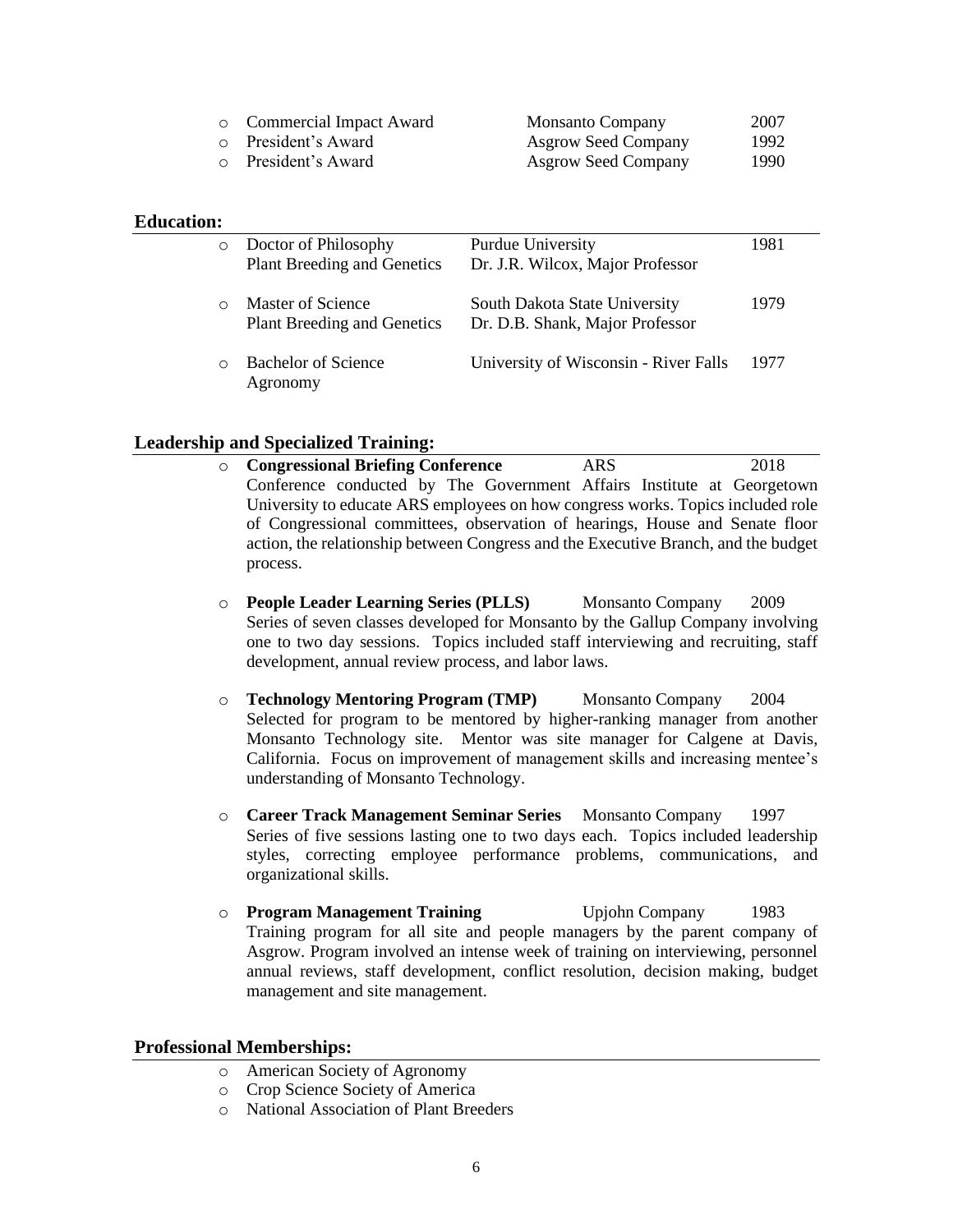| <b>Commercial Impact Award</b> | <b>Monsanto Company</b>    | 2007 |
|--------------------------------|----------------------------|------|
| o President's Award            | <b>Asgrow Seed Company</b> | 1992 |
| o President's Award            | <b>Asgrow Seed Company</b> | 1990 |

## **Education:**

| $\circ$ | Doctor of Philosophy<br><b>Plant Breeding and Genetics</b> | Purdue University<br>Dr. J.R. Wilcox, Major Professor            | 1981 |
|---------|------------------------------------------------------------|------------------------------------------------------------------|------|
|         | Master of Science<br>Plant Breeding and Genetics           | South Dakota State University<br>Dr. D.B. Shank, Major Professor | 1979 |
| $\cap$  | <b>Bachelor of Science</b><br>Agronomy                     | University of Wisconsin - River Falls                            | 1977 |

## **Leadership and Specialized Training:**

- o **Congressional Briefing Conference** ARS 2018 Conference conducted by The Government Affairs Institute at Georgetown University to educate ARS employees on how congress works. Topics included role of Congressional committees, observation of hearings, House and Senate floor action, the relationship between Congress and the Executive Branch, and the budget process.
- o **People Leader Learning Series (PLLS)** Monsanto Company 2009 Series of seven classes developed for Monsanto by the Gallup Company involving one to two day sessions. Topics included staff interviewing and recruiting, staff development, annual review process, and labor laws.
- o **Technology Mentoring Program (TMP)** Monsanto Company 2004 Selected for program to be mentored by higher-ranking manager from another Monsanto Technology site. Mentor was site manager for Calgene at Davis, California. Focus on improvement of management skills and increasing mentee's understanding of Monsanto Technology.
- o **Career Track Management Seminar Series** Monsanto Company 1997 Series of five sessions lasting one to two days each. Topics included leadership styles, correcting employee performance problems, communications, and organizational skills.
- o **Program Management Training** Upjohn Company 1983 Training program for all site and people managers by the parent company of Asgrow. Program involved an intense week of training on interviewing, personnel annual reviews, staff development, conflict resolution, decision making, budget management and site management.

# **Professional Memberships:**

- o American Society of Agronomy
- o Crop Science Society of America
- o National Association of Plant Breeders